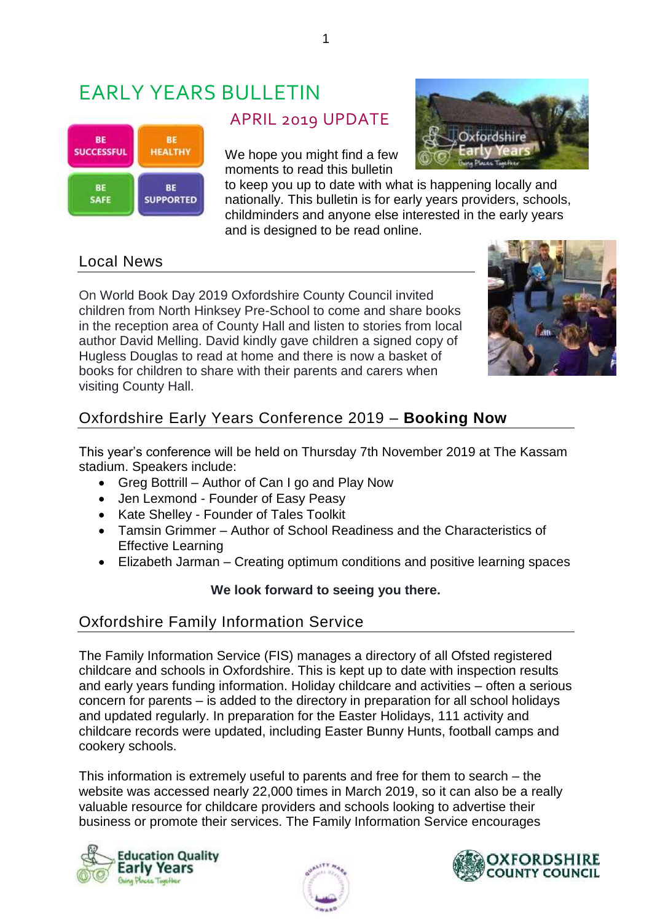# EARLY YEARS BULLETIN



APRIL 2019 UPDATE

We hope you might find a few moments to read this bulletin



to keep you up to date with what is happening locally and nationally. This bulletin is for early years providers, schools, childminders and anyone else interested in the early years and is designed to be read online.

# Local News

On World Book Day 2019 Oxfordshire County Council invited children from North Hinksey Pre-School to come and share books in the reception area of County Hall and listen to stories from local author David Melling. David kindly gave children a signed copy of Hugless Douglas to read at home and there is now a basket of books for children to share with their parents and carers when visiting County Hall.



# Oxfordshire Early Years Conference 2019 – **Booking Now**

This year's conference will be held on Thursday 7th November 2019 at The Kassam stadium. Speakers include:

- Greg Bottrill Author of Can I go and Play Now
- Jen Lexmond Founder of Easy Peasy
- Kate Shelley Founder of Tales Toolkit
- Tamsin Grimmer Author of School Readiness and the Characteristics of Effective Learning
- Elizabeth Jarman Creating optimum conditions and positive learning spaces

#### **We look forward to seeing you there.**

# Oxfordshire Family Information Service

The Family Information Service (FIS) manages a directory of all Ofsted registered childcare and schools in Oxfordshire. This is kept up to date with inspection results and early years funding information. Holiday childcare and activities – often a serious concern for parents – is added to the directory in preparation for all school holidays and updated regularly. In preparation for the Easter Holidays, 111 activity and childcare records were updated, including Easter Bunny Hunts, football camps and cookery schools.

This information is extremely useful to parents and free for them to search – the website was accessed nearly 22,000 times in March 2019, so it can also be a really valuable resource for childcare providers and schools looking to advertise their business or promote their services. The Family Information Service encourages





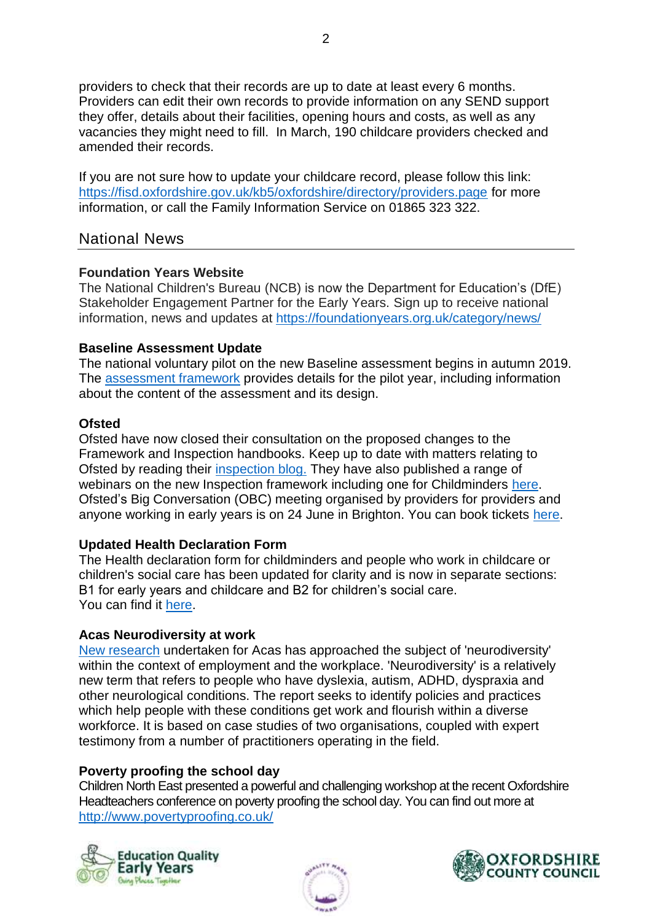providers to check that their records are up to date at least every 6 months. Providers can edit their own records to provide information on any SEND support they offer, details about their facilities, opening hours and costs, as well as any vacancies they might need to fill. In March, 190 childcare providers checked and amended their records.

If you are not sure how to update your childcare record, please follow this link: <https://fisd.oxfordshire.gov.uk/kb5/oxfordshire/directory/providers.page> for more information, or call the Family Information Service on 01865 323 322.

# National News

#### **Foundation Years Website**

The National Children's Bureau (NCB) is now the Department for Education's (DfE) Stakeholder Engagement Partner for the Early Years. Sign up to receive national information, news and updates at <https://foundationyears.org.uk/category/news/>

#### **Baseline Assessment Update**

The national voluntary pilot on the new Baseline assessment begins in autumn 2019. The [assessment framework](https://www.gov.uk/government/publications/reception-baseline-assessment-framework?utm_source=Foundation+Years&utm_campaign=3b6289cb21-EMAIL_CAMPAIGN_2019_03_25_03_13&utm_medium=email&utm_term=0_8f9a6de061-3b6289cb21-321538273&mc_cid=3b6289cb21&mc_eid=657d2da590) provides details for the pilot year, including information about the content of the assessment and its design.

#### **Ofsted**

Ofsted have now closed their consultation on the proposed changes to the Framework and Inspection handbooks. Keep up to date with matters relating to Ofsted by reading their [inspection blog.](https://educationinspection.blog.gov.uk/) They have also published a range of webinars on the new Inspection framework including one for Childminders [here.](https://youtu.be/YLnzwcpcYZs?list=PLLq-zBnUkspMqHNi3C1kF-QCQ93UCCtNe) Ofsted's Big Conversation (OBC) meeting organised by providers for providers and anyone working in early years is on 24 June in Brighton. You can book tickets [here.](https://www.eventbrite.com/e/south-east-ofsted-big-conversation-tickets-60131707556)

# **Updated Health Declaration Form**

The Health declaration form for childminders and people who work in childcare or children's social care has been updated for clarity and is now in separate sections: B1 for early years and childcare and B2 for children's social care. You can find it [here.](https://www.gov.uk/government/publications/become-a-childcare-provider-health-declaration?utm_source=e87c2570-8ca0-4719-b73d-9938f608ea73&utm_medium=email&utm_campaign=govuk-notifications&utm_content=immediate)

#### **Acas Neurodiversity at work**

[New research](http://www.acas.org.uk/index.aspx?articleid=5858&utm_medium=email&utm_campaign=SEE%20Employment%20law%20update%20and%20HR%20news%20from%20Acas%20South%20East%20March%20CENTRE%20NORTH%201%202019&utm_content=SEE%20Employment%20law%20update%20and%20HR%20news%20from%20Acas%20South%20East%20March%20CENTRE%20NORTH%201%202019+CID_45cdc7846b0c8dbde1689c110f84bee3&utm_source=Acas%20South%20East%20Email%20Marketing%20Live&utm_term=Neurodiversity%20at%20work) undertaken for Acas has approached the subject of 'neurodiversity' within the context of employment and the workplace. 'Neurodiversity' is a relatively new term that refers to people who have dyslexia, autism, ADHD, dyspraxia and other neurological conditions. The report seeks to identify policies and practices which help people with these conditions get work and flourish within a diverse workforce. It is based on case studies of two organisations, coupled with expert testimony from a number of practitioners operating in the field.

# **Poverty proofing the school day**

Children North East presented a powerful and challenging workshop at the recent Oxfordshire Headteachers conference on poverty proofing the school day. You can find out more at <http://www.povertyproofing.co.uk/>





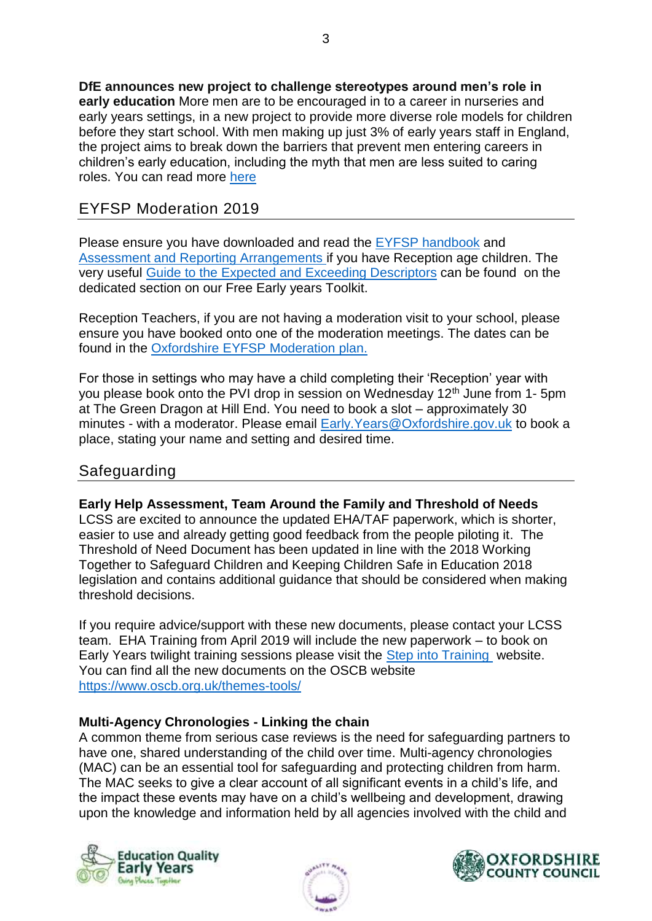**DfE announces new project to challenge stereotypes around men's role in early education** More men are to be encouraged in to a career in nurseries and early years settings, in a new project to provide more diverse role models for children before they start school. With men making up just 3% of early years staff in England, the project aims to break down the barriers that prevent men entering careers in children's early education, including the myth that men are less suited to caring roles. You can read more [here](https://www.gov.uk/government/news/calls-for-more-men-to-work-in-the-early-years?utm_source=e170b567-8047-4c7a-8bf1-08f3fad47d95&utm_medium=email&utm_campaign=govuk-notifications&utm_content=daily)

# EYFSP Moderation 2019

Please ensure you have downloaded and read the [EYFSP handbook](https://www.gov.uk/government/publications/early-years-foundation-stage-profile-handbook) and [Assessment and Reporting Arrangements](https://www.gov.uk/government/publications/2019-early-years-foundation-stage-assessment-and-reporting-arrangements-ara) if you have Reception age children. The very useful [Guide to the Expected and Exceeding Descriptors](https://www2.oxfordshire.gov.uk/cms/sites/default/files/folders/documents/childreneducationandfamilies/educationandlearning/earlyyearschildcare/Aguidetothedescriptors.pdf) can be found on the dedicated section on our Free Early years Toolkit.

Reception Teachers, if you are not having a moderation visit to your school, please ensure you have booked onto one of the moderation meetings. The dates can be found in the [Oxfordshire EYFSP Moderation plan.](https://www2.oxfordshire.gov.uk/cms/sites/default/files/folders/documents/childreneducationandfamilies/educationandlearning/earlyyearschildcare/EYFSPModerationPlan.pdf)

For those in settings who may have a child completing their 'Reception' year with you please book onto the PVI drop in session on Wednesday 12<sup>th</sup> June from 1-5pm at The Green Dragon at Hill End. You need to book a slot – approximately 30 minutes - with a moderator. Please email [Early.Years@Oxfordshire.gov.uk](mailto:Early.Years@Oxfordshire.gov.uk) to book a place, stating your name and setting and desired time.

# Safeguarding

#### **Early Help Assessment, Team Around the Family and Threshold of Needs**

LCSS are excited to announce the updated EHA/TAF paperwork, which is shorter, easier to use and already getting good feedback from the people piloting it. The Threshold of Need Document has been updated in line with the 2018 Working Together to Safeguard Children and Keeping Children Safe in Education 2018 legislation and contains additional guidance that should be considered when making threshold decisions.

If you require advice/support with these new documents, please contact your LCSS team. EHA Training from April 2019 will include the new paperwork – to book on Early Years twilight training sessions please visit the [Step into Training](https://oxfordshirecpdonline.com/cpd/default.asp) website. You can find all the new documents on the OSCB website <https://www.oscb.org.uk/themes-tools/>

#### **Multi-Agency Chronologies - Linking the chain**

A common theme from serious case reviews is the need for safeguarding partners to have one, shared understanding of the child over time. Multi-agency chronologies (MAC) can be an essential tool for safeguarding and protecting children from harm. The MAC seeks to give a clear account of all significant events in a child's life, and the impact these events may have on a child's wellbeing and development, drawing upon the knowledge and information held by all agencies involved with the child and





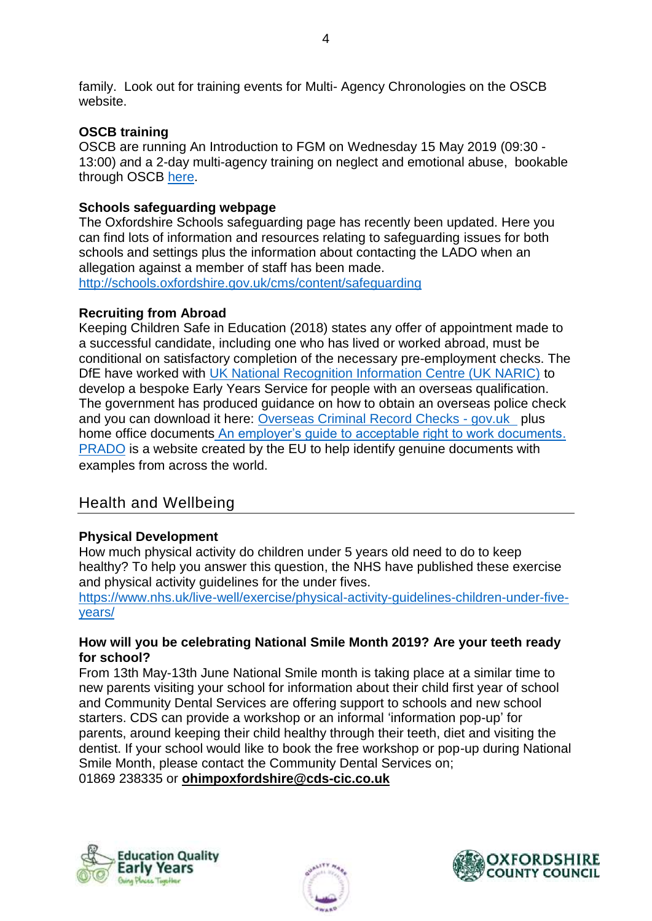family. Look out for training events for Multi- Agency Chronologies on the OSCB website.

# **OSCB training**

OSCB are running An Introduction to FGM on Wednesday 15 May 2019 (09:30 - 13:00) *a*nd a 2-day multi-agency training on neglect and emotional abuse, bookable through OSCB [here.](https://training.oscb.org.uk/events-list?e=%3D%3DQO4cjM)

# **Schools safeguarding webpage**

The Oxfordshire Schools safeguarding page has recently been updated. Here you can find lots of information and resources relating to safeguarding issues for both schools and settings plus the information about contacting the LADO when an allegation against a member of staff has been made.

<http://schools.oxfordshire.gov.uk/cms/content/safeguarding>

# **Recruiting from Abroad**

Keeping Children Safe in Education (2018) states any offer of appointment made to a successful candidate, including one who has lived or worked abroad, must be conditional on satisfactory completion of the necessary pre-employment checks. The DfE have worked with [UK National Recognition Information Centre \(UK NARIC\)](https://www.naric.org.uk/naric/Individuals/Compare%20Qualifications/Comparability%20for%20Early%20Years%20Sector.aspx) to develop a bespoke Early Years Service for people with an overseas qualification. The government has produced guidance on how to obtain an overseas police check and you can download it here: [Overseas Criminal Record Checks -](https://www.gov.uk/government/publications/criminal-records-checks-for-overseas-applicants?mc_cid=2ce14554eb&mc_eid=e2fd8af67c) gov.uk plus home office documents [An employer's guide to acceptable right to work documents.](https://www.gov.uk/government/publications/acceptable-right-to-work-documents-an-employers-guide) [PRADO](https://www.consilium.europa.eu/prado/en/prado-start-page.html?mc_cid=2ce14554eb&mc_eid=e2fd8af67c) is a website created by the EU to help identify genuine documents with examples from across the world.

# Health and Wellbeing

# **Physical Development**

How much physical activity do children under 5 years old need to do to keep healthy? To help you answer this question, the NHS have published these exercise and physical activity guidelines for the under fives.

[https://www.nhs.uk/live-well/exercise/physical-activity-guidelines-children-under-five](https://www.nhs.uk/live-well/exercise/physical-activity-guidelines-children-under-five-years/)[years/](https://www.nhs.uk/live-well/exercise/physical-activity-guidelines-children-under-five-years/)

#### **How will you be celebrating National Smile Month 2019? Are your teeth ready for school?**

From 13th May-13th June National Smile month is taking place at a similar time to new parents visiting your school for information about their child first year of school and Community Dental Services are offering support to schools and new school starters. CDS can provide a workshop or an informal 'information pop-up' for parents, around keeping their child healthy through their teeth, diet and visiting the dentist. If your school would like to book the free workshop or pop-up during National Smile Month, please contact the Community Dental Services on; 01869 238335 or **[ohimpoxfordshire@cds-cic.co.uk](mailto:ohimpoxfordshire@cds-cic.co.uk)**





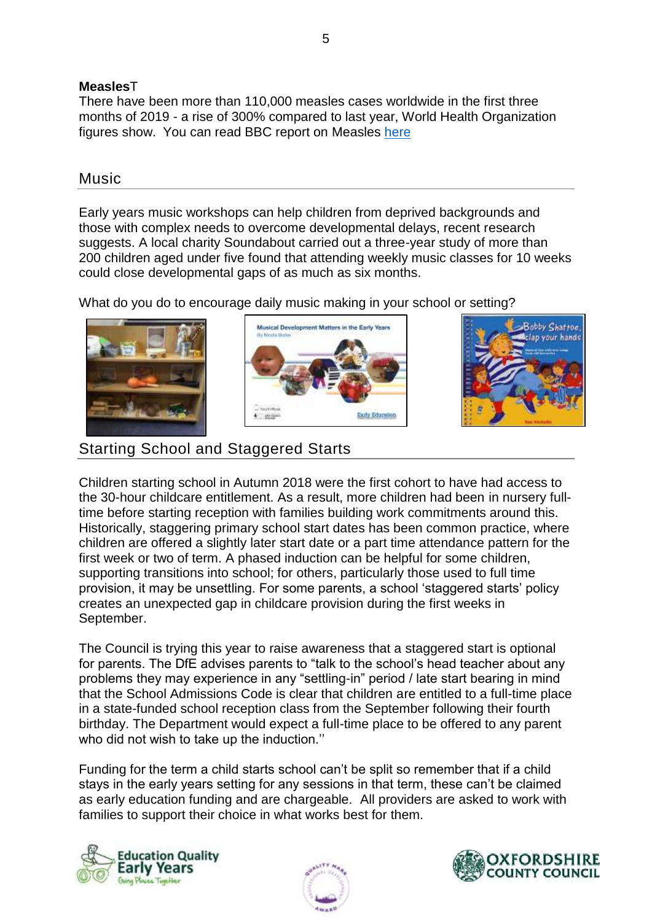#### **Measles**T

There have been more than 110,000 measles cases worldwide in the first three months of 2019 - a rise of 300% compared to last year, World Health Organization figures show. You can read BBC report on Measles [here](https://www.bbc.co.uk/news/health-48039524)

# **Music**

Early years music workshops can help children from deprived backgrounds and those with complex needs to overcome developmental delays, recent research suggests. A local charity Soundabout carried out a three-year study of more than 200 children aged under five found that attending weekly music classes for 10 weeks could close developmental gaps of as much as six months.

What do you do to encourage daily music making in your school or setting?







# Starting School and Staggered Starts

Children starting school in Autumn 2018 were the first cohort to have had access to the 30-hour childcare entitlement. As a result, more children had been in nursery fulltime before starting reception with families building work commitments around this. Historically, staggering primary school start dates has been common practice, where children are offered a slightly later start date or a part time attendance pattern for the first week or two of term. A phased induction can be helpful for some children, supporting transitions into school; for others, particularly those used to full time provision, it may be unsettling. For some parents, a school 'staggered starts' policy creates an unexpected gap in childcare provision during the first weeks in September.

The Council is trying this year to raise awareness that a staggered start is optional for parents. The DfE advises parents to "talk to the school's head teacher about any problems they may experience in any "settling-in" period / late start bearing in mind that the School Admissions Code is clear that children are entitled to a full-time place in a state-funded school reception class from the September following their fourth birthday. The Department would expect a full-time place to be offered to any parent who did not wish to take up the induction.''

Funding for the term a child starts school can't be split so remember that if a child stays in the early years setting for any sessions in that term, these can't be claimed as early education funding and are chargeable. All providers are asked to work with families to support their choice in what works best for them.